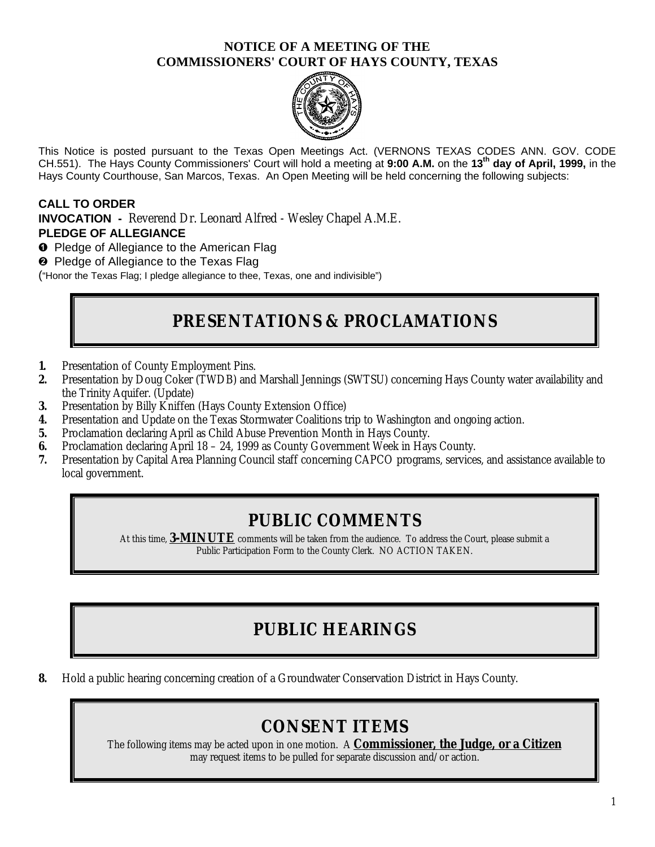### **NOTICE OF A MEETING OF THE COMMISSIONERS' COURT OF HAYS COUNTY, TEXAS**



This Notice is posted pursuant to the Texas Open Meetings Act. (VERNONS TEXAS CODES ANN. GOV. CODE CH.551). The Hays County Commissioners' Court will hold a meeting at **9:00 A.M.** on the **13th day of April, 1999,** in the Hays County Courthouse, San Marcos, Texas. An Open Meeting will be held concerning the following subjects:

### **CALL TO ORDER**

**INVOCATION -** Reverend Dr. Leonard Alfred - Wesley Chapel A.M.E. **PLEDGE OF ALLEGIANCE**

**O** Pledge of Allegiance to the American Flag

<sup>2</sup> Pledge of Allegiance to the Texas Flag

("Honor the Texas Flag; I pledge allegiance to thee, Texas, one and indivisible")

# **PRESENTATIONS & PROCLAMATIONS**

- **1.** Presentation of County Employment Pins.
- **2.** Presentation by Doug Coker (TWDB) and Marshall Jennings (SWTSU) concerning Hays County water availability and the Trinity Aquifer. (Update)
- **3.** Presentation by Billy Kniffen (Hays County Extension Office)
- **4.** Presentation and Update on the Texas Stormwater Coalitions trip to Washington and ongoing action.
- **5.** Proclamation declaring April as Child Abuse Prevention Month in Hays County.
- **6.** Proclamation declaring April 18 24, 1999 as County Government Week in Hays County.
- **7.** Presentation by Capital Area Planning Council staff concerning CAPCO programs, services, and assistance available to local government.

### **PUBLIC COMMENTS**

At this time, **3-MINUTE** comments will be taken from the audience. To address the Court, please submit a Public Participation Form to the County Clerk. NO ACTION TAKEN.

# **PUBLIC HEARINGS**

**8.** Hold a public hearing concerning creation of a Groundwater Conservation District in Hays County.

## **CONSENT ITEMS**

The following items may be acted upon in one motion. A **Commissioner, the Judge, or a Citizen** may request items to be pulled for separate discussion and/or action.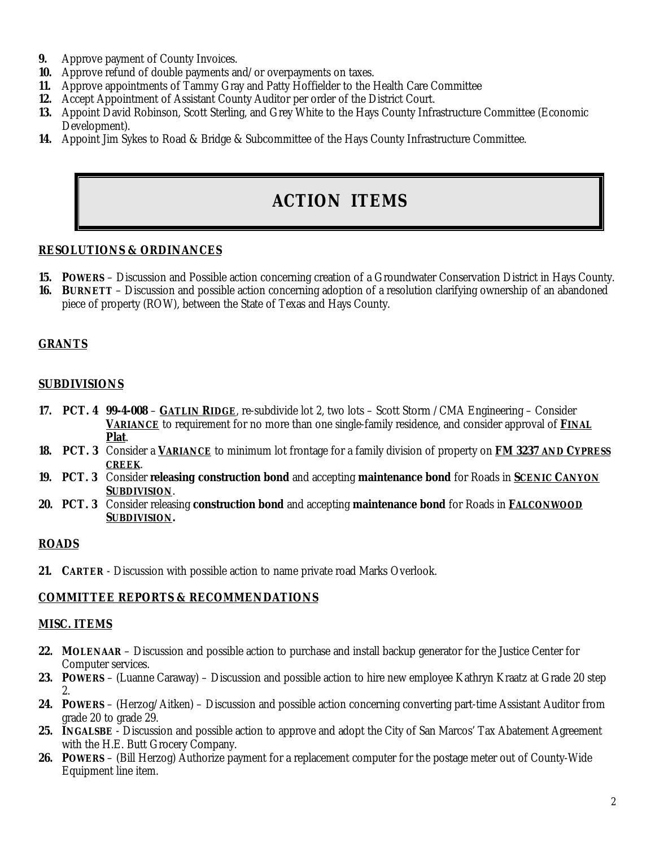- **9.** Approve payment of County Invoices.
- **10.** Approve refund of double payments and/or overpayments on taxes.
- **11.** Approve appointments of Tammy Gray and Patty Hoffielder to the Health Care Committee
- **12.** Accept Appointment of Assistant County Auditor per order of the District Court.
- **13.** Appoint David Robinson, Scott Sterling, and Grey White to the Hays County Infrastructure Committee (Economic Development).
- **14.** Appoint Jim Sykes to Road & Bridge & Subcommittee of the Hays County Infrastructure Committee.

# **ACTION ITEMS**

#### **RESOLUTIONS & ORDINANCES**

- **15. POWERS** Discussion and Possible action concerning creation of a Groundwater Conservation District in Hays County.
- **16. BURNETT** Discussion and possible action concerning adoption of a resolution clarifying ownership of an abandoned piece of property (ROW), between the State of Texas and Hays County.

#### **GRANTS**

#### **SUBDIVISIONS**

- **17. PCT. 4 99-4-008 GATLIN RIDGE**, re-subdivide lot 2, two lots Scott Storm /CMA Engineering Consider **VARIANCE** to requirement for no more than one single-family residence, and consider approval of **FINAL Plat**.
- **18. PCT. 3** Consider a **VARIANCE** to minimum lot frontage for a family division of property on **FM 3237 AND CYPRESS CREEK**.
- **19. PCT. 3** Consider **releasing construction bond** and accepting **maintenance bond** for Roads in **SCENIC CANYON SUBDIVISION**.
- **20. PCT. 3** Consider releasing **construction bond** and accepting **maintenance bond** for Roads in **FALCONWOOD SUBDIVISION.**

#### **ROADS**

**21. CARTER** - Discussion with possible action to name private road Marks Overlook.

#### **COMMITTEE REPORTS & RECOMMENDATIONS**

#### **MISC. ITEMS**

- **22. MOLENAAR** Discussion and possible action to purchase and install backup generator for the Justice Center for Computer services.
- **23. POWERS** (Luanne Caraway) Discussion and possible action to hire new employee Kathryn Kraatz at Grade 20 step 2.
- **24. POWERS** (Herzog/Aitken) Discussion and possible action concerning converting part-time Assistant Auditor from grade 20 to grade 29.
- **25. INGALSBE** Discussion and possible action to approve and adopt the City of San Marcos' Tax Abatement Agreement with the H.E. Butt Grocery Company.
- **26. POWERS** (Bill Herzog) Authorize payment for a replacement computer for the postage meter out of County-Wide Equipment line item.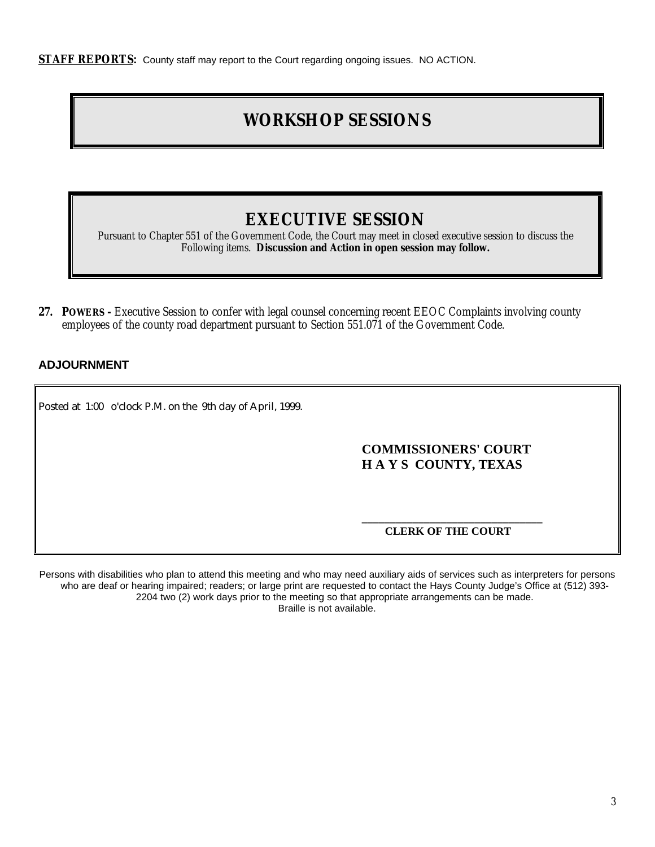**STAFF REPORTS:** County staff may report to the Court regarding ongoing issues. NO ACTION.

# **WORKSHOP SESSIONS**

## **EXECUTIVE SESSION**

Pursuant to Chapter 551 of the Government Code, the Court may meet in closed executive session to discuss the Following items. **Discussion and Action in open session may follow.**

**27. POWERS -** Executive Session to confer with legal counsel concerning recent EEOC Complaints involving county employees of the county road department pursuant to Section 551.071 of the Government Code.

#### **ADJOURNMENT**

Posted at 1:00 o'clock P.M. on the 9th day of April, 1999.

### **COMMISSIONERS' COURT H A Y S COUNTY, TEXAS**

#### **\_\_\_\_\_\_\_\_\_\_\_\_\_\_\_\_\_\_\_\_\_\_\_\_\_\_\_\_\_\_\_\_ CLERK OF THE COURT**

Persons with disabilities who plan to attend this meeting and who may need auxiliary aids of services such as interpreters for persons who are deaf or hearing impaired; readers; or large print are requested to contact the Hays County Judge's Office at (512) 393-2204 two (2) work days prior to the meeting so that appropriate arrangements can be made. Braille is not available.